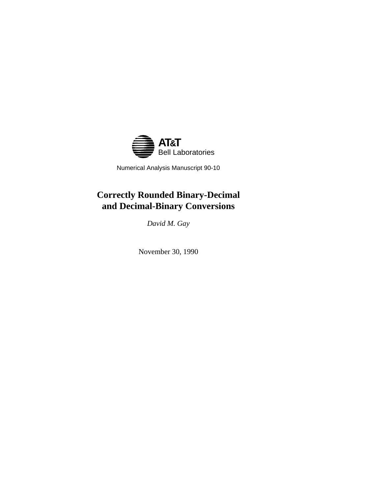

Numerical Analysis Manuscript 90-10

# **Correctly Rounded Binary-Decimal and Decimal-Binary Conversions**

*David M. Gay*

November 30, 1990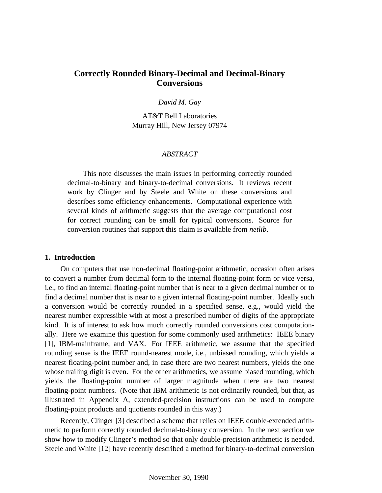## **Correctly Rounded Binary-Decimal and Decimal-Binary Conversions**

## *David M. Gay*

AT&T Bell Laboratories Murray Hill, New Jersey 07974

## *ABSTRACT*

This note discusses the main issues in performing correctly rounded decimal-to-binary and binary-to-decimal conversions. It reviews recent work by Clinger and by Steele and White on these conversions and describes some efficiency enhancements. Computational experience with several kinds of arithmetic suggests that the average computational cost for correct rounding can be small for typical conversions. Source for conversion routines that support this claim is available from *netlib*.

#### **1. Introduction**

On computers that use non-decimal floating-point arithmetic, occasion often arises to convert a number from decimal form to the internal floating-point form or vice versa, i.e., to find an internal floating-point number that is near to a given decimal number or to find a decimal number that is near to a given internal floating-point number. Ideally such a conversion would be correctly rounded in a specified sense, e.g., would yield the nearest number expressible with at most a prescribed number of digits of the appropriate kind. It is of interest to ask how much correctly rounded conversions cost computationally. Here we examine this question for some commonly used arithmetics: IEEE binary [1], IBM-mainframe, and VAX. For IEEE arithmetic, we assume that the specified rounding sense is the IEEE round-nearest mode, i.e., unbiased rounding, which yields a nearest floating-point number and, in case there are two nearest numbers, yields the one whose trailing digit is even. For the other arithmetics, we assume biased rounding, which yields the floating-point number of larger magnitude when there are two nearest floating-point numbers. (Note that IBM arithmetic is not ordinarily rounded, but that, as illustrated in Appendix A, extended-precision instructions can be used to compute floating-point products and quotients rounded in this way.)

Recently, Clinger [3] described a scheme that relies on IEEE double-extended arithmetic to perform correctly rounded decimal-to-binary conversion. In the next section we show how to modify Clinger's method so that only double-precision arithmetic is needed. Steele and White [12] have recently described a method for binary-to-decimal conversion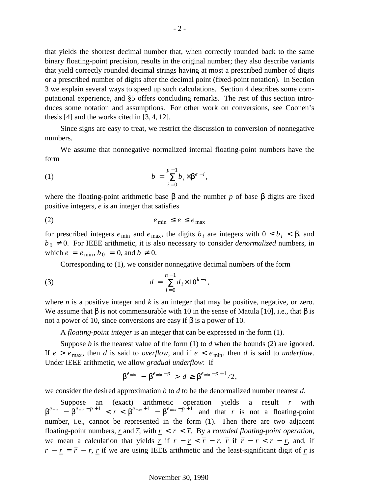that yields the shortest decimal number that, when correctly rounded back to the same binary floating-point precision, results in the original number; they also describe variants that yield correctly rounded decimal strings having at most a prescribed number of digits or a prescribed number of digits after the decimal point (fixed-point notation). In Section 3 we explain several ways to speed up such calculations. Section 4 describes some computational experience, and §5 offers concluding remarks. The rest of this section introduces some notation and assumptions. For other work on conversions, see Coonen's thesis [4] and the works cited in [3, 4, 12].

Since signs are easy to treat, we restrict the discussion to conversion of nonnegative numbers.

We assume that nonnegative normalized internal floating-point numbers have the form

(1) 
$$
b = \sum_{i=0}^{p-1} b_i \times \beta^{e-i},
$$

where the floating-point arithmetic base  $\beta$  and the number *p* of base  $\beta$  digits are fixed positive integers, *e* is an integer that satisfies

$$
(2) \t\t e_{\min} \le e \le e_{\max}
$$

for prescribed integers  $e_{\min}$  and  $e_{\max}$ , the digits  $b_i$  are integers with  $0 \leq b_i < \beta$ , and  $b_0 \neq 0$ . For IEEE arithmetic, it is also necessary to consider *denormalized* numbers, in which  $e = e_{\min}$ ,  $b_0 = 0$ , and  $b \neq 0$ .

Corresponding to (1), we consider nonnegative decimal numbers of the form

(3) 
$$
d = \sum_{i=0}^{n-1} d_i \times 10^{k-i},
$$

where *n* is a positive integer and *k* is an integer that may be positive, negative, or zero. We assume that  $\beta$  is not commensurable with 10 in the sense of Matula [10], i.e., that  $\beta$  is not a power of 10, since conversions are easy if  $β$  is a power of 10.

A *floating-point integer* is an integer that can be expressed in the form (1).

Suppose *b* is the nearest value of the form (1) to *d* when the bounds (2) are ignored. If  $e > e_{\text{max}}$ , then *d* is said to *overflow*, and if  $e < e_{\text{min}}$ , then *d* is said to *underflow*. Under IEEE arithmetic, we allow *gradual underflow*: if

$$
\beta^{e_{\min}} - \beta^{e_{\min} - p} > d \geq \beta^{e_{\min} - p + 1} / 2,
$$

we consider the desired approximation *b* to *d* to be the denormalized number nearest *d*.

Suppose an (exact) arithmetic operation yields a result *r* with  $\beta^{e_{\min}} - \beta^{e_{\min} - p + 1} < r < \beta^{e_{\max} + 1} - \beta^{e_{\max} - p + 1}$  and that *r* is not a floating-point number, i.e., cannot be represented in the form (1). Then there are two adjacent floating-point numbers, r and  $\overline{r}$ , with  $r < r < \overline{r}$ . By a rounded floating-point operation, we mean a calculation that yields  $\overline{r}$  if  $\overline{r} - \overline{r} < \overline{r} - r$ ,  $\overline{r}$  if  $\overline{r} - r < r - \overline{r}$ , and, if *r* −  $r = \overline{r} - r$ ,  $r$  if we are using IEEE arithmetic and the least-significant digit of  $r$  is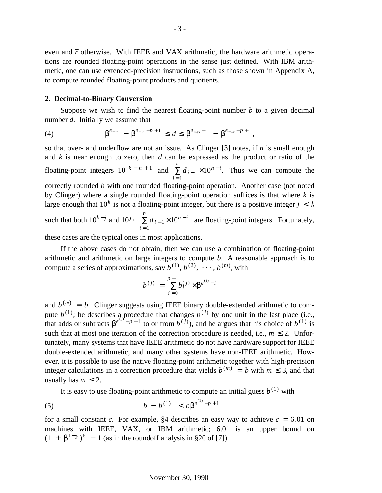even and  $\bar{r}$  otherwise. With IEEE and VAX arithmetic, the hardware arithmetic operations are rounded floating-point operations in the sense just defined. With IBM arithmetic, one can use extended-precision instructions, such as those shown in Appendix A, to compute rounded floating-point products and quotients.

## **2. Decimal-to-Binary Conversion**

Suppose we wish to find the nearest floating-point number *b* to a given decimal number *d*. Initially we assume that

$$
(4) \hspace{1cm} \beta^{e_{\min}} - \beta^{e_{\min} - p + 1} \leq d \leq \beta^{e_{\max} + 1} - \beta^{e_{\max} - p + 1},
$$

so that over- and underflow are not an issue. As Clinger [3] notes, if *n* is small enough and *k* is near enough to zero, then *d* can be expressed as the product or ratio of the floating-point integers  $10^{k - n + 1}$  and  $\sum_{i=1}$  $\sum_{i=1}^{n} d_{i-1} \times 10^{n-i}$ . Thus we can compute the correctly rounded *b* with one rounded floating-point operation. Another case (not noted by Clinger) where a single rounded floating-point operation suffices is that where *k* is large enough that  $10^k$  is not a floating-point integer, but there is a positive integer  $j < k$ such that both  $10^{k-j}$  and  $10^{j}$ .  $\overline{\phantom{a}}$  $\lfloor i = 1 \rfloor$ Σ  $\sum_{i=1}^{n} d_{i-1} \times 10^{n-i}$  $\overline{\phantom{a}}$  $\overline{\phantom{a}}$ J are floating-point integers. Fortunately,

these cases are the typical ones in most applications.

If the above cases do not obtain, then we can use a combination of floating-point arithmetic and arithmetic on large integers to compute *b*. A reasonable approach is to compute a series of approximations, say  $b^{(1)}$ ,  $b^{(2)}$ ,  $\dots$ ,  $b^{(m)}$ , with

$$
b^{(j)} = \sum_{i=0}^{p-1} b_i^{(j)} \times \beta^{e^{(j)}-i}
$$

and  $b^{(m)} = b$ . Clinger suggests using IEEE binary double-extended arithmetic to compute  $b^{(1)}$ ; he describes a procedure that changes  $b^{(j)}$  by one unit in the last place (i.e., that adds or subtracts  $\beta^{e^{(j)}-p+1}$  to or from  $b^{(j)}$ ), and he argues that his choice of  $b^{(1)}$  is such that at most one iteration of the correction procedure is needed, i.e.,  $m \leq 2$ . Unfortunately, many systems that have IEEE arithmetic do not have hardware support for IEEE double-extended arithmetic, and many other systems have non-IEEE arithmetic. However, it is possible to use the native floating-point arithmetic together with high-precision integer calculations in a correction procedure that yields  $b^{(m)} = b$  with  $m \le 3$ , and that usually has  $m \leq 2$ .

It is easy to use floating-point arithmetic to compute an initial guess  $b^{(1)}$  with

(5) 
$$
|b - b^{(1)}| < c \beta^{e^{(1)} - p + 1}
$$

for a small constant *c*. For example,  $§4$  describes an easy way to achieve  $c = 6.01$  on machines with IEEE, VAX, or IBM arithmetic; 6.01 is an upper bound on  $(1 + \beta^{1-p})^6 - 1$  (as in the roundoff analysis in §20 of [7]).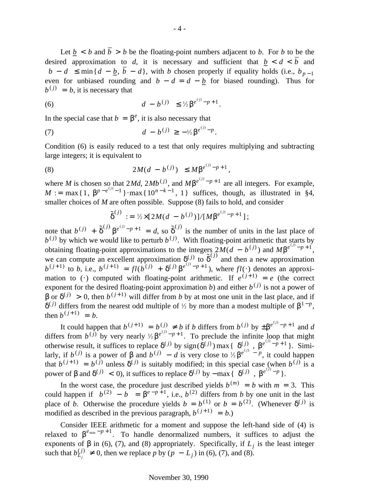Let  $b < b$  and  $b$ \_  $> b$  be the floating-point numbers adjacent to *b*. For *b* to be the desired approximation to *d*, it is necessary and sufficient that  $\underline{b} < d < b$  and *b* − *d*| ≤ min {*d* − *<u>b</u>*, *b* − *d*}, with *b* chosen properly if equality holds (i.e., *b<sub>p*-1</sub> even for unbiased rounding and  $b - d = d - b$  for biased rounding). Thus for  $b^{(j)} = b$ , it is necessary that

(6) 
$$
|d - b^{(j)}| \leq \frac{1}{2} \beta^{e^{(j)} - p + 1}.
$$

In the special case that  $b = \beta^e$ , it is also necessary that

(7) 
$$
d - b^{(j)} \geq -\frac{1}{2} \beta^{e^{(j)} - p}.
$$

Condition (6) is easily reduced to a test that only requires multiplying and subtracting large integers; it is equivalent to

(8) 
$$
|2M(d-b^{(j)})| \leq M \beta^{e^{(j)}-p+1},
$$

where *M* is chosen so that 2*Md*, 2*Mb*<sup>(*j*)</sup>, and *M* $\beta^{e^{(j)}-p+1}$  are all integers. For example,  $M := \max\{1, \beta^{p-e^{(j)}-1}\}\cdot \max\{10^{n-k-1}, 1\}$  suffices, though, as illustrated in §4, smaller choices of *M* are often possible. Suppose (8) fails to hold, and consider

$$
\tilde{\delta}^{(j)} := \frac{1}{2} \times [2M(d-b^{(j)})]/[M\beta^{e^{(j)}-p+1}];
$$

note that  $b^{(j)} + \tilde{\delta}^{(j)} \beta^{e^{(j)} - p + 1} = d$ , so  $\tilde{\delta}^{(j)}$  is the number of units in the last place of  $b^{(j)}$  by which we would like to perturb  $b^{(j)}$ . With floating-point arithmetic that starts by obtaining floating-point approximations to the integers  $2M(d - b^{(j)})$  and  $M\beta^{e^{(j)} - p + 1}$ , we can compute an excellent approximation  $\delta^{(j)}$  to  $\tilde{\delta}^{(j)}$  and then a new approximation  $b^{(j+1)}$  to *b*, i.e.,  $b^{(j+1)} = fl(b^{(j)} + \delta^{(j)} \beta^{e^{(j)} - p + 1})$ , where  $fl(\cdot)$  denotes an approximation to (.) computed with floating-point arithmetic. If  $e^{(j+1)} = e$  (the correct exponent for the desired floating-point approximation *b*) and either  $b^{(j)}$  is not a power of  $β$  or  $δ^{(j)} > 0$ , then  $b^{(j+1)}$  will differ from *b* by at most one unit in the last place, and if δ<sup>(*j*)</sup> differs from the nearest odd multiple of  $\frac{1}{2}$  by more than a modest multiple of  $\beta^{1-p}$ , then  $b^{(j+1)} = b$ .

It could happen that  $b^{(j+1)} = b^{(j)} \neq b$  if *b* differs from  $b^{(j)}$  by  $\pm \beta^{e^{(j)} - p + 1}$  and *d* differs from  $b^{(j)}$  by very nearly  $\frac{1}{2} \beta^{e^{(j)} - p + 1}$ . To preclude the infinite loop that might otherwise result, it suffices to replace  $\delta^{(j)}$  by sign( $\delta^{(j)}$ ) max { $\delta^{(j)}$ ,  $\beta^{e^{(j)} - p + 1}$ }. Similarly, if  $b^{(j)}$  is a power of  $\beta$  and  $b^{(j)} - d$  is very close to  $\frac{1}{2} \beta^{e^{(j)} - p}$ , it could happen that  $b^{(j+1)} = b^{(j)}$  unless  $\delta^{(j)}$  is suitably modified; in this special case (when  $b^{(j)}$  is a power of  $\beta$  and  $\delta^{(j)} < 0$ , it suffices to replace  $\delta^{(j)}$  by  $-\max\{|\delta^{(j)}|, \beta^{e^{(j)}-p}\}.$ 

In the worst case, the procedure just described yields  $b^{(m)} = b$  with  $m = 3$ . This could happen if  $|b^{(2)} - b| = \beta^{e-p+1}$ , i.e.,  $b^{(2)}$  differs from *b* by one unit in the last place of *b*. Otherwise the procedure yields  $b = b^{(1)}$  or  $b = b^{(2)}$ . (Whenever  $\delta^{(j)}$  is modified as described in the previous paragraph,  $b^{(j+1)} = b$ .)

Consider IEEE arithmetic for a moment and suppose the left-hand side of (4) is relaxed to  $\beta^{e_{\min}-p+1}$ . To handle denormalized numbers, it suffices to adjust the exponents of  $\beta$  in (6), (7), and (8) appropriately. Specifically, if  $L_j$  is the least integer such that  $b_{L_j}^{(j)} \neq 0$ , then we replace *p* by  $(p - L_j)$  in (6), (7), and (8).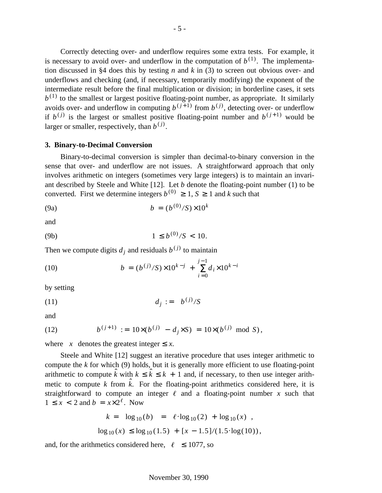Correctly detecting over- and underflow requires some extra tests. For example, it is necessary to avoid over- and underflow in the computation of  $b^{(1)}$ . The implementation discussed in §4 does this by testing *n* and *k* in (3) to screen out obvious over- and underflows and checking (and, if necessary, temporarily modifying) the exponent of the intermediate result before the final multiplication or division; in borderline cases, it sets  $b^{(1)}$  to the smallest or largest positive floating-point number, as appropriate. It similarly avoids over- and underflow in computing  $b^{(j+1)}$  from  $b^{(j)}$ , detecting over- or underflow if  $b^{(j)}$  is the largest or smallest positive floating-point number and  $b^{(j+1)}$  would be larger or smaller, respectively, than  $b^{(j)}$ .

## **3. Binary-to-Decimal Conversion**

Binary-to-decimal conversion is simpler than decimal-to-binary conversion in the sense that over- and underflow are not issues. A straightforward approach that only involves arithmetic on integers (sometimes very large integers) is to maintain an invariant described by Steele and White [12]. Let *b* denote the floating-point number (1) to be converted. First we determine integers  $b^{(0)} \ge 1$ ,  $S \ge 1$  and *k* such that

$$
(9a) \t\t b = (b^{(0)}/S) \times 10^k
$$

and

(9b) 
$$
1 \le b^{(0)}/S < 10.
$$

Then we compute digits  $d_i$  and residuals  $b^{(j)}$  to maintain

(10) 
$$
b = (b^{(j)}/S) \times 10^{k-j} + \sum_{i=0}^{j-1} d_i \times 10^{k-i}
$$

by setting

$$
(11) \t\t d_j := \lfloor b^{(j)}/S \rfloor
$$

and

(12) 
$$
b^{(j+1)} := 10 \times (b^{(j)} - d_j \times S) = 10 \times (b^{(j)} \mod S),
$$

where  $\lfloor x \rfloor$  denotes the greatest integer  $\leq x$ .

Steele and White [12] suggest an iterative procedure that uses integer arithmetic to compute the *k* for which (9) holds, but it is generally more efficient to use floating-point arithmetic to compute  $\hat{k}$  with  $k \leq \hat{k} \leq k + 1$  and, if necessary, to then use integer arithmetic to compute  $k$  from  $\hat{k}$ . For the floating-point arithmetics considered here, it is straightforward to compute an integer  $\ell$  and a floating-point number x such that  $1 \leq x < 2$  and  $b = x \times 2^{\ell}$ . Now

$$
k = \lfloor \log_{10}(b) \rfloor = \lfloor \ell \cdot \log_{10}(2) + \log_{10}(x) \rfloor,
$$
  

$$
\log_{10}(x) \le \log_{10}(1.5) + \lfloor x - 1.5 \rfloor / (1.5 \cdot \log(10)),
$$

and, for the arithmetics considered here,  $|\ell| \le 1077$ , so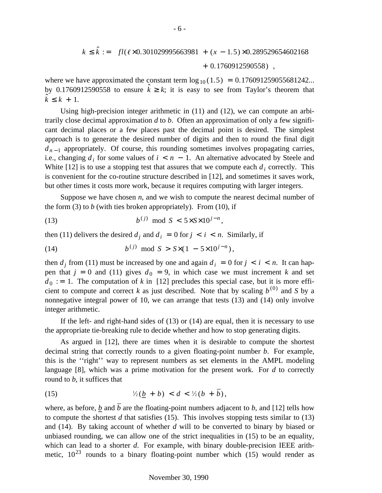$$
k \le \hat{k} := \left[ f l(\ell \times 0.301029995663981 + (x - 1.5) \times 0.289529654602168 + 0.1760912590558) \right],
$$

where we have approximated the constant term  $\log_{10}(1.5) = 0.176091259055681242...$ by 0.1760912590558 to ensure  $\hat{k} \geq k$ ; it is easy to see from Taylor's theorem that  $\hat{k} \leq k + 1$ .

Using high-precision integer arithmetic in (11) and (12), we can compute an arbitrarily close decimal approximation *d* to *b*. Often an approximation of only a few significant decimal places or a few places past the decimal point is desired. The simplest approach is to generate the desired number of digits and then to round the final digit  $d_{n-1}$  appropriately. Of course, this rounding sometimes involves propagating carries, i.e., changing  $d_i$  for some values of  $i < n - 1$ . An alternative advocated by Steele and White  $[12]$  is to use a stopping test that assures that we compute each  $d_i$  correctly. This is convenient for the co-routine structure described in [12], and sometimes it saves work, but other times it costs more work, because it requires computing with larger integers.

Suppose we have chosen *n*, and we wish to compute the nearest decimal number of the form  $(3)$  to *b* (with ties broken appropriately). From  $(10)$ , if

(13) 
$$
b^{(j)} \mod S < 5 \times S \times 10^{j-n}
$$
,

then (11) delivers the desired  $d_i$  and  $d_i = 0$  for  $j < i < n$ . Similarly, if

(14) 
$$
b^{(j)} \mod S > S \times (1 - 5 \times 10^{j-n}),
$$

then  $d_i$  from (11) must be increased by one and again  $d_i = 0$  for  $j < i < n$ . It can happen that  $j = 0$  and (11) gives  $d_0 = 9$ , in which case we must increment k and set  $d_0 := 1$ . The computation of k in [12] precludes this special case, but it is more efficient to compute and correct *k* as just described. Note that by scaling  $b^{(0)}$  and *S* by a nonnegative integral power of 10, we can arrange that tests (13) and (14) only involve integer arithmetic.

If the left- and right-hand sides of (13) or (14) are equal, then it is necessary to use the appropriate tie-breaking rule to decide whether and how to stop generating digits.

As argued in [12], there are times when it is desirable to compute the shortest decimal string that correctly rounds to a given floating-point number *b*. For example, this is the ''right'' way to represent numbers as set elements in the AMPL modeling language [8], which was a prime motivation for the present work. For *d* to correctly round to *b*, it suffices that \_

(15) 
$$
\frac{1}{2}(\underline{b} + b) < d < \frac{1}{2}(b + \overline{b}),
$$

where, as before, *b*\_ and *b* are the floating-point numbers adjacent to *b*, and [12] tells how to compute the shortest  $d$  that satisfies (15). This involves stopping tests similar to (13) and (14). By taking account of whether *d* will to be converted to binary by biased or unbiased rounding, we can allow one of the strict inequalities in (15) to be an equality, which can lead to a shorter *d*. For example, with binary double-precision IEEE arithmetic,  $10^{23}$  rounds to a binary floating-point number which (15) would render as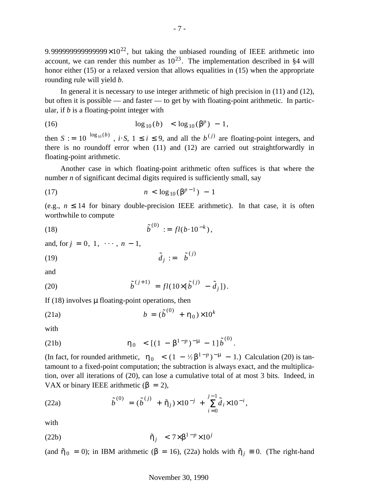9.99999999999999998×10<sup>22</sup>, but taking the unbiased rounding of IEEE arithmetic into account, we can render this number as  $10^{23}$ . The implementation described in §4 will honor either (15) or a relaxed version that allows equalities in (15) when the appropriate rounding rule will yield *b*.

In general it is necessary to use integer arithmetic of high precision in (11) and (12), but often it is possible — and faster — to get by with floating-point arithmetic. In particular, if *b* is a floating-point integer with

(16) 
$$
\lfloor \log_{10}(b) \rfloor < \log_{10}(\beta^p) - 1,
$$

then  $S := 10^{\lfloor \log_{10}(b) \rfloor}$ ,  $i \cdot S$ ,  $1 \le i \le 9$ , and all the  $b^{(j)}$  are floating-point integers, and there is no roundoff error when (11) and (12) are carried out straightforwardly in floating-point arithmetic.

Another case in which floating-point arithmetic often suffices is that where the number *n* of significant decimal digits required is sufficiently small, say

(17) 
$$
n < \log_{10}(\beta^{p-1}) - 1
$$

(e.g.,  $n \leq 14$  for binary double-precision IEEE arithmetic). In that case, it is often worthwhile to compute

(18) 
$$
\tilde{b}^{(0)} := fl(b \cdot 10^{-k}),
$$

and, for  $j = 0, 1, \cdots, n - 1$ ,

$$
\tilde{d}_j := \lfloor \tilde{b}^{(j)} \rfloor
$$

and

(20) 
$$
\tilde{b}^{(j+1)} = fl(10 \times [\tilde{b}^{(j)} - \tilde{d}_j]).
$$

If  $(18)$  involves  $\mu$  floating-point operations, then

(21a) 
$$
b = (\tilde{b}^{(0)} + \eta_0) \times 10^k
$$

with

(21b) 
$$
|\eta_0| < [(1 - \beta^{1-p})^{-\mu} - 1]\tilde{b}^{(0)}.
$$

(In fact, for rounded arithmetic,  $|\eta_0| < (1 - \frac{1}{2} \beta^{1-p})^{-\mu} - 1$ .) Calculation (20) is tantamount to a fixed-point computation; the subtraction is always exact, and the multiplication, over all iterations of (20), can lose a cumulative total of at most 3 bits. Indeed, in VAX or binary IEEE arithmetic ( $\beta = 2$ ),

(22a) 
$$
\tilde{b}^{(0)} = (\tilde{b}^{(j)} + \tilde{\eta}_j) \times 10^{-j} + \sum_{i=0}^{j-1} \tilde{d}_i \times 10^{-i},
$$

with

$$
|\tilde{\eta}_j| < 7 \times \beta^{1-p} \times 10^j
$$

(and  $\tilde{\eta}_0 = 0$ ); in IBM arithmetic ( $\beta = 16$ ), (22a) holds with  $\tilde{\eta}_i \equiv 0$ . (The right-hand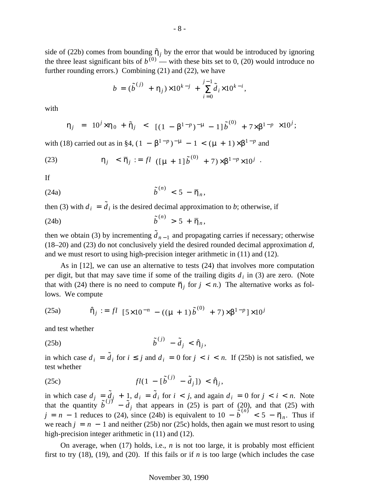side of (22b) comes from bounding  $\tilde{\eta}_j$  by the error that would be introduced by ignoring the three least significant bits of  $b^{(0)}$  — with these bits set to 0, (20) would introduce no further rounding errors.) Combining (21) and (22), we have

$$
b = (\tilde{b}^{(j)} + \eta_j) \times 10^{k-j} + \sum_{i=0}^{j-1} \tilde{d}_i \times 10^{k-i},
$$

with

$$
|\eta_j| = |10^j \times \eta_0 + \tilde{\eta}_j| < \left[ [(1 - \beta^{1-p})^{-\mu} - 1] \tilde{b}^{(0)} + 7 \times \beta^{1-p} \right] \times 10^j;
$$

with (18) carried out as in §4,  $(1 - \beta^{1-p})^{-\mu} - 1 < (\mu + 1) \times \beta^{1-p}$  and

(23) 
$$
|\eta_j| < \overline{\eta}_j := fl \Big[ ([\mu + 1] \tilde{b}^{(0)} + 7) \times \beta^{1-p} \times 10^j \Big].
$$

If

$$
\tilde{b}^{(n)} < 5 - \overline{\eta}_n,
$$

then (3) with  $d_i = \tilde{d}_i$  is the desired decimal approximation to *b*; otherwise, if

$$
\tilde{b}^{(n)} > 5 + \overline{\eta}_n,
$$

then we obtain (3) by incrementing  $\tilde{d}_{n-1}$  and propagating carries if necessary; otherwise (18–20) and (23) do not conclusively yield the desired rounded decimal approximation *d*, and we must resort to using high-precision integer arithmetic in (11) and (12).

As in [12], we can use an alternative to tests (24) that involves more computation per digit, but that may save time if some of the trailing digits  $d_i$  in (3) are zero. (Note that with (24) there is no need to compute  $\overline{\eta}_j$  for  $j < n$ .) The alternative works as follows. We compute

(25a) 
$$
\hat{\eta}_j := fl \left[ [5 \times 10^{-n} - ((\mu + 1) \tilde{b}^{(0)} + 7) \times \beta^{1-p}] \times 10^j \right]
$$

and test whether

$$
\tilde{b}^{(j)} - \tilde{d}_j < \hat{\eta}_j,
$$

in which case  $d_i = \tilde{d}_i$  for  $i \leq j$  and  $d_i = 0$  for  $j < i < n$ . If (25b) is not satisfied, we test whether

(25c) *f l*( 1 − [*b* ˜( *<sup>j</sup>*) <sup>−</sup> *<sup>d</sup>* ˜*j*] ) < ηˆ *<sup>j</sup>* ,

in which case  $d_j = \tilde{d}_j + 1$ ,  $d_i = \tilde{d}_i$  for  $i < j$ , and again  $d_i = 0$  for  $j < i < n$ . Note that the quantity  $\tilde{b}^{(j)}$  –  $\tilde{d}_j$  that appears in (25) is part of (20), and that (25) with *j* = *n* − 1 reduces to (24), since (24b) is equivalent to  $10 - \tilde{b}^{(n)} < 5 - \overline{\eta}_n$ . Thus if we reach  $j = n - 1$  and neither (25b) nor (25c) holds, then again we must resort to using high-precision integer arithmetic in  $(11)$  and  $(12)$ .

On average, when (17) holds, i.e., *n* is not too large, it is probably most efficient first to try (18), (19), and (20). If this fails or if *n* is too large (which includes the case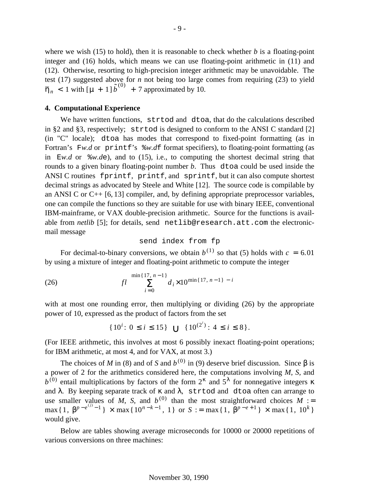where we wish  $(15)$  to hold), then it is reasonable to check whether *b* is a floating-point integer and (16) holds, which means we can use floating-point arithmetic in (11) and (12). Otherwise, resorting to high-precision integer arithmetic may be unavoidable. The test (17) suggested above for *n* not being too large comes from requiring (23) to yield η  $\mathfrak{a}$  $n \leq 1$  with  $\left[\mu + 1\right] \tilde{b}^{(0)} + 7$  approximated by 10.

#### **4. Computational Experience**

We have written functions, strtod and dtoa, that do the calculations described in §2 and §3, respectively; strtod is designed to conform to the ANSI C standard [2] (in "C" locale); dtoa has modes that correspond to fixed-point formatting (as in Fortran's Fw.d or printf's  $\frac{1}{2}w.d$  format specifiers), to floating-point formatting (as in E*w.d* or %*w.d*e), and to (15), i.e., to computing the shortest decimal string that rounds to a given binary floating-point number *b*. Thus dtoa could be used inside the ANSI C routines fprintf, printf, and sprintf, but it can also compute shortest decimal strings as advocated by Steele and White [12]. The source code is compilable by an ANSI C or C++ [6, 13] compiler, and, by defining appropriate preprocessor variables, one can compile the functions so they are suitable for use with binary IEEE, conventional IBM-mainframe, or VAX double-precision arithmetic. Source for the functions is available from *netlib* [5]; for details, send netlib@research.att.com the electronicmail message

#### send index from fp

For decimal-to-binary conversions, we obtain  $b^{(1)}$  so that (5) holds with  $c = 6.01$ by using a mixture of integer and floating-point arithmetic to compute the integer

(26) 
$$
f l \left[ \sum_{i=0}^{\min\{17, n-1\}} d_i \times 10^{\min\{17, n-1\} - i} \right]
$$

with at most one rounding error, then multiplying or dividing  $(26)$  by the appropriate power of 10, expressed as the product of factors from the set

$$
\{10^i: 0 \le i \le 15\} \cup \{10^{(2^i)}: 4 \le i \le 8\}.
$$

(For IEEE arithmetic, this involves at most 6 possibly inexact floating-point operations; for IBM arithmetic, at most 4, and for VAX, at most 3.)

The choices of *M* in (8) and of *S* and  $b^{(0)}$  in (9) deserve brief discussion. Since  $\beta$  is a power of 2 for the arithmetics considered here, the computations involving *M*, *S*, and  $b^{(0)}$  entail multiplications by factors of the form  $2^k$  and  $5^{\lambda}$  for nonnegative integers  $\kappa$ and  $\lambda$ . By keeping separate track of  $\kappa$  and  $\lambda$ , strtod and dtoa often can arrange to use smaller values of *M*, *S*, and  $b^{(0)}$  than the most straightforward choices *M* :=  $\max\{1, \beta^{p-e^{(j)}-1}\}\times \max\{10^{n-k-1}, 1\}$  or  $S := \max\{1, \beta^{p-e+1}\}\times \max\{1, 10^k\}$ would give.

Below are tables showing average microseconds for 10000 or 20000 repetitions of various conversions on three machines:

#### November 30, 1990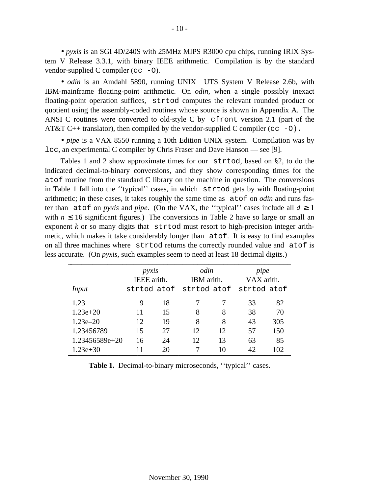• *pyxis* is an SGI 4D/240S with 25MHz MIPS R3000 cpu chips, running IRIX System V Release 3.3.1, with binary IEEE arithmetic. Compilation is by the standard vendor-supplied C compiler ( $cc -O$ ).

• *odin* is an Amdahl 5890, running UNIX<sup>®</sup> UTS System V Release 2.6b, with IBM-mainframe floating-point arithmetic. On *odin*, when a single possibly inexact floating-point operation suffices, strtod computes the relevant rounded product or quotient using the assembly-coded routines whose source is shown in Appendix A. The ANSI C routines were converted to old-style C by cfront version 2.1 (part of the AT&T C++ translator), then compiled by the vendor-supplied C compiler (cc -0).

• *pipe* is a VAX 8550 running a 10th Edition UNIX system. Compilation was by lcc, an experimental C compiler by Chris Fraser and Dave Hanson — see [9].

Tables 1 and 2 show approximate times for our strtod, based on §2, to do the indicated decimal-to-binary conversions, and they show corresponding times for the atof routine from the standard C library on the machine in question. The conversions in Table 1 fall into the ''typical'' cases, in which strtod gets by with floating-point arithmetic; in these cases, it takes roughly the same time as atof on *odin* and runs faster than atof on *pyxis* and *pipe*. (On the VAX, the "typical" cases include all  $d \ge 1$ with  $n \leq 16$  significant figures.) The conversions in Table 2 have so large or small an exponent *k* or so many digits that strtod must resort to high-precision integer arithmetic, which makes it take considerably longer than atof. It is easy to find examples on all three machines where strtod returns the correctly rounded value and atof is less accurate. (On *pyxis*, such examples seem to need at least 18 decimal digits.)

|                | $p$ <i>yxis</i><br><b>IEEE</b> arith. |    | odin<br>IBM arith.                  |    | pipe<br>VAX arith. |     |
|----------------|---------------------------------------|----|-------------------------------------|----|--------------------|-----|
| Input          |                                       |    | strtod atof strtod atof strtod atof |    |                    |     |
| 1.23           | 9                                     | 18 |                                     |    | 33                 | 82  |
| $1.23e+20$     | 11                                    | 15 | 8                                   | 8  | 38                 | 70  |
| $1.23e - 20$   | 12                                    | 19 | 8                                   | 8  | 43                 | 305 |
| 1.23456789     | 15                                    | 27 | 12                                  | 12 | 57                 | 150 |
| 1.23456589e+20 | 16                                    | 24 | 12                                  | 13 | 63                 | 85  |
| $1.23e+30$     |                                       | 20 |                                     |    | 42                 | 102 |

**Table 1.** Decimal-to-binary microseconds, ''typical'' cases.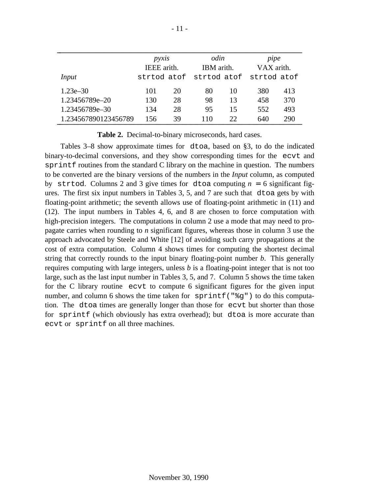|                      | $p$ <i>yxis</i><br>IEEE arith. |    | odin<br>IBM arith.                  |    | pipe<br>VAX arith. |     |
|----------------------|--------------------------------|----|-------------------------------------|----|--------------------|-----|
| Input                |                                |    | strtod atof strtod atof strtod atof |    |                    |     |
| $1.23e - 30$         | 101                            | 20 | 80                                  | 10 | 380                | 413 |
| 1.23456789e-20       | 130                            | 28 | 98                                  | 13 | 458                | 370 |
| 1.23456789e-30       | 134                            | 28 | 95                                  | 15 | 552                | 493 |
| 1.234567890123456789 | 156                            | 39 | 110                                 | 22 | 640                | 290 |

**Table 2.** Decimal-to-binary microseconds, hard cases.

Tables 3–8 show approximate times for dtoa, based on §3, to do the indicated binary-to-decimal conversions, and they show corresponding times for the ecvt and sprintf routines from the standard C library on the machine in question. The numbers to be converted are the binary versions of the numbers in the *Input* column, as computed by strtod. Columns 2 and 3 give times for dtoa computing  $n = 6$  significant figures. The first six input numbers in Tables 3, 5, and 7 are such that dtoa gets by with floating-point arithmetic; the seventh allows use of floating-point arithmetic in (11) and (12). The input numbers in Tables 4, 6, and 8 are chosen to force computation with high-precision integers. The computations in column 2 use a mode that may need to propagate carries when rounding to *n* significant figures, whereas those in column 3 use the approach advocated by Steele and White [12] of avoiding such carry propagations at the cost of extra computation. Column 4 shows times for computing the shortest decimal string that correctly rounds to the input binary floating-point number *b*. This generally requires computing with large integers, unless *b* is a floating-point integer that is not too large, such as the last input number in Tables 3, 5, and 7. Column 5 shows the time taken for the C library routine ecvt to compute 6 significant figures for the given input number, and column 6 shows the time taken for sprintf("%g") to do this computation. The dtoa times are generally longer than those for ecvt but shorter than those for sprintf (which obviously has extra overhead); but dtoa is more accurate than ecvt or sprintf on all three machines.

- 11 -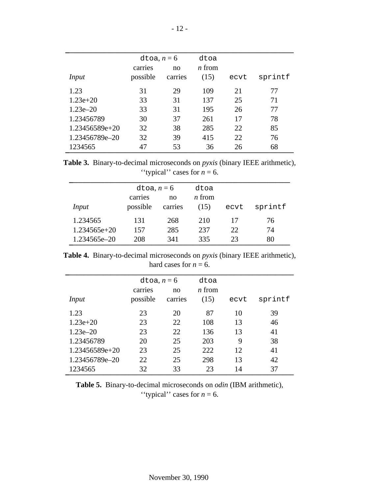| Input          | dtoa, $n = 6$<br>carries<br>possible | no<br>carries | dtoa<br>$n$ from<br>(15) | ecvt | sprintf |
|----------------|--------------------------------------|---------------|--------------------------|------|---------|
| 1.23           | 31                                   | 29            | 109                      | 21   | 77      |
| $1.23e+20$     | 33                                   | 31            | 137                      | 25   | 71      |
| $1.23e - 20$   | 33                                   | 31            | 195                      | 26   | 77      |
| 1.23456789     | 30                                   | 37            | 261                      | 17   | 78      |
| 1.23456589e+20 | 32                                   | 38            | 285                      | 22   | 85      |
| 1.23456789e-20 | 32                                   | 39            | 415                      | 22   | 76      |
| 1234565        | 47                                   | 53            | 36                       | 26   | 68      |

**Table 3.** Binary-to-decimal microseconds on *pyxis* (binary IEEE arithmetic), "typical" cases for  $n = 6$ .

| Input        | dtoa, $n = 6$<br>carries<br>possible | no<br>carries | dtoa<br>$n$ from<br>(15) | ecvt | sprintf |
|--------------|--------------------------------------|---------------|--------------------------|------|---------|
| 1.234565     | 131                                  | 268           | 210                      | 17   | 76      |
| 1.234565e+20 | 157                                  | 285           | 237                      | 22   | 74      |
| 1.234565e-20 | 208                                  | 341           | 335                      | 23   | 80      |

**Table 4.** Binary-to-decimal microseconds on *pyxis* (binary IEEE arithmetic), hard cases for  $n = 6$ .

| Input          | dtoa, $n = 6$<br>carries<br>possible | no<br>carries | dtoa<br><i>n</i> from<br>(15) | ecvt | sprintf |
|----------------|--------------------------------------|---------------|-------------------------------|------|---------|
| 1.23           | 23                                   | 20            | 87                            | 10   | 39      |
| $1.23e+20$     | 23                                   | 22            | 108                           | 13   | 46      |
| $1.23e - 20$   | 23                                   | 22            | 136                           | 13   | 41      |
| 1.23456789     | 20                                   | 25            | 203                           | 9    | 38      |
| 1.23456589e+20 | 23                                   | 25            | 222                           | 12   | 41      |
| 1.23456789e-20 | 22                                   | 25            | 298                           | 13   | 42      |
| 1234565        | 32                                   | 33            | 23                            | 14   | 37      |

**Table 5.** Binary-to-decimal microseconds on *odin* (IBM arithmetic), "typical" cases for  $n = 6$ .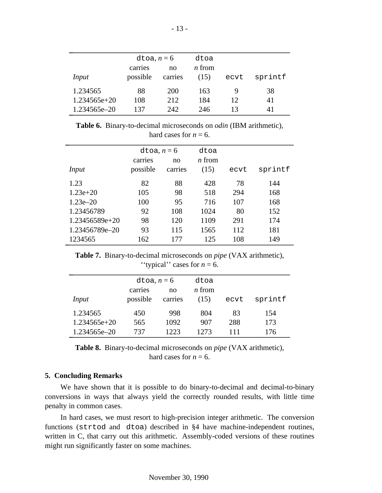|                | dtoa, $n = 6$       |               | dtoa             |      |         |
|----------------|---------------------|---------------|------------------|------|---------|
| Input          | carries<br>possible | no<br>carries | $n$ from<br>(15) | ecvt | sprintf |
| 1.234565       | 88                  | <b>200</b>    | 163              | 9    | 38      |
| $1.234565e+20$ | 108                 | 212           | 184              | 12   | 41      |
| 1.234565e-20   | 137                 | 242           | 246              | 13   | 41      |

**Table 6.** Binary-to-decimal microseconds on *odin* (IBM arithmetic), hard cases for  $n = 6$ .

|                | dtoa, $n = 6$       |               | dtoa                  |      |         |
|----------------|---------------------|---------------|-----------------------|------|---------|
| Input          | carries<br>possible | no<br>carries | <i>n</i> from<br>(15) | ecvt | sprintf |
| 1.23           | 82                  | 88            | 428                   | 78   | 144     |
| $1.23e+20$     | 105                 | 98            | 518                   | 294  | 168     |
| $1.23e - 20$   | 100                 | 95            | 716                   | 107  | 168     |
| 1.23456789     | 92                  | 108           | 1024                  | 80   | 152     |
| 1.23456589e+20 | 98                  | 120           | 1109                  | 291  | 174     |
| 1.23456789e-20 | 93                  | 115           | 1565                  | 112  | 181     |
| 1234565        | 162                 | 177           | 125                   | 108  | 149     |

**Table 7.** Binary-to-decimal microseconds on *pipe* (VAX arithmetic), "typical" cases for  $n = 6$ .

 $\mathsf I$ I I I I I I I I I I I I I

|              | dtoa, $n = 6$ |         | dtoa     |      |         |
|--------------|---------------|---------|----------|------|---------|
|              | carries       | no      | $n$ from |      |         |
| Input        | possible      | carries | (15)     | ecvt | sprintf |
| 1.234565     | 450           | 998     | 804      | 83   | 154     |
| 1.234565e+20 | 565           | 1092    | 907      | 288  | 173     |
| 1.234565e-20 | 737           | 1223    | 12.73    | 111  | 176     |

**Table 8.** Binary-to-decimal microseconds on *pipe* (VAX arithmetic), hard cases for  $n = 6$ .

## **5. Concluding Remarks**

We have shown that it is possible to do binary-to-decimal and decimal-to-binary conversions in ways that always yield the correctly rounded results, with little time penalty in common cases.

In hard cases, we must resort to high-precision integer arithmetic. The conversion functions (strtod and dtoa) described in §4 have machine-independent routines, written in C, that carry out this arithmetic. Assembly-coded versions of these routines might run significantly faster on some machines.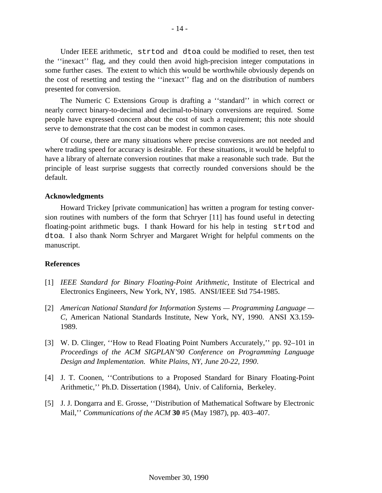Under IEEE arithmetic, strtod and dtoa could be modified to reset, then test the ''inexact'' flag, and they could then avoid high-precision integer computations in some further cases. The extent to which this would be worthwhile obviously depends on the cost of resetting and testing the ''inexact'' flag and on the distribution of numbers presented for conversion.

The Numeric C Extensions Group is drafting a ''standard'' in which correct or nearly correct binary-to-decimal and decimal-to-binary conversions are required. Some people have expressed concern about the cost of such a requirement; this note should serve to demonstrate that the cost can be modest in common cases.

Of course, there are many situations where precise conversions are not needed and where trading speed for accuracy is desirable. For these situations, it would be helpful to have a library of alternate conversion routines that make a reasonable such trade. But the principle of least surprise suggests that correctly rounded conversions should be the default.

## **Acknowledgments**

Howard Trickey [private communication] has written a program for testing conversion routines with numbers of the form that Schryer [11] has found useful in detecting floating-point arithmetic bugs. I thank Howard for his help in testing strtod and dtoa. I also thank Norm Schryer and Margaret Wright for helpful comments on the manuscript.

## **References**

- [1] *IEEE Standard for Binary Floating-Point Arithmetic,* Institute of Electrical and Electronics Engineers, New York, NY, 1985. ANSI/IEEE Std 754-1985.
- [2] *American National Standard for Information Systems Programming Language — C,* American National Standards Institute, New York, NY, 1990. ANSI X3.159- 1989.
- [3] W. D. Clinger, ''How to Read Floating Point Numbers Accurately,'' pp. 92–101 in *Proceedings of the ACM SIGPLAN'90 Conference on Programming Language Design and Implementation. White Plains, NY, June 20-22, 1990*.
- [4] J. T. Coonen, ''Contributions to a Proposed Standard for Binary Floating-Point Arithmetic,'' Ph.D. Dissertation (1984), Univ. of California, Berkeley.
- [5] J. J. Dongarra and E. Grosse, ''Distribution of Mathematical Software by Electronic Mail,'' *Communications of the ACM* **30** #5 (May 1987), pp. 403–407.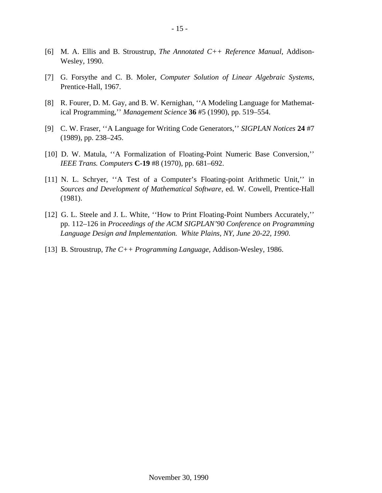- [6] M. A. Ellis and B. Stroustrup, *The Annotated C++ Reference Manual,* Addison-Wesley, 1990.
- [7] G. Forsythe and C. B. Moler, *Computer Solution of Linear Algebraic Systems,* Prentice-Hall, 1967.
- [8] R. Fourer, D. M. Gay, and B. W. Kernighan, ''A Modeling Language for Mathematical Programming,'' *Management Science* **36** #5 (1990), pp. 519–554.
- [9] C. W. Fraser, ''A Language for Writing Code Generators,'' *SIGPLAN Notices* **24** #7 (1989), pp. 238–245.
- [10] D. W. Matula, ''A Formalization of Floating-Point Numeric Base Conversion,'' *IEEE Trans. Computers* **C-19** #8 (1970), pp. 681–692.
- [11] N. L. Schryer, "A Test of a Computer's Floating-point Arithmetic Unit," in *Sources and Development of Mathematical Software*, ed. W. Cowell, Prentice-Hall (1981).
- [12] G. L. Steele and J. L. White, ''How to Print Floating-Point Numbers Accurately,'' pp. 112–126 in *Proceedings of the ACM SIGPLAN'90 Conference on Programming Language Design and Implementation. White Plains, NY, June 20-22, 1990*.
- [13] B. Stroustrup, *The C++ Programming Language,* Addison-Wesley, 1986.